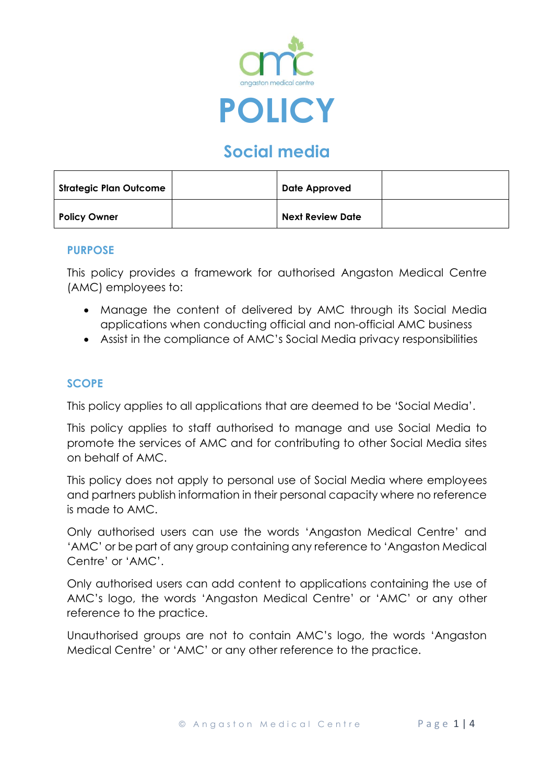

# **Social media**

| Strategic Plan Outcome | Date Approved           |  |
|------------------------|-------------------------|--|
| <b>Policy Owner</b>    | <b>Next Review Date</b> |  |

#### **PURPOSE**

This policy provides a framework for authorised Angaston Medical Centre (AMC) employees to:

- Manage the content of delivered by AMC through its Social Media applications when conducting official and non-official AMC business
- Assist in the compliance of AMC's Social Media privacy responsibilities

## **SCOPE**

This policy applies to all applications that are deemed to be 'Social Media'.

This policy applies to staff authorised to manage and use Social Media to promote the services of AMC and for contributing to other Social Media sites on behalf of AMC.

This policy does not apply to personal use of Social Media where employees and partners publish information in their personal capacity where no reference is made to AMC.

Only authorised users can use the words 'Angaston Medical Centre' and 'AMC' or be part of any group containing any reference to 'Angaston Medical Centre' or 'AMC'.

Only authorised users can add content to applications containing the use of AMC's logo, the words 'Angaston Medical Centre' or 'AMC' or any other reference to the practice.

Unauthorised groups are not to contain AMC's logo, the words 'Angaston Medical Centre' or 'AMC' or any other reference to the practice.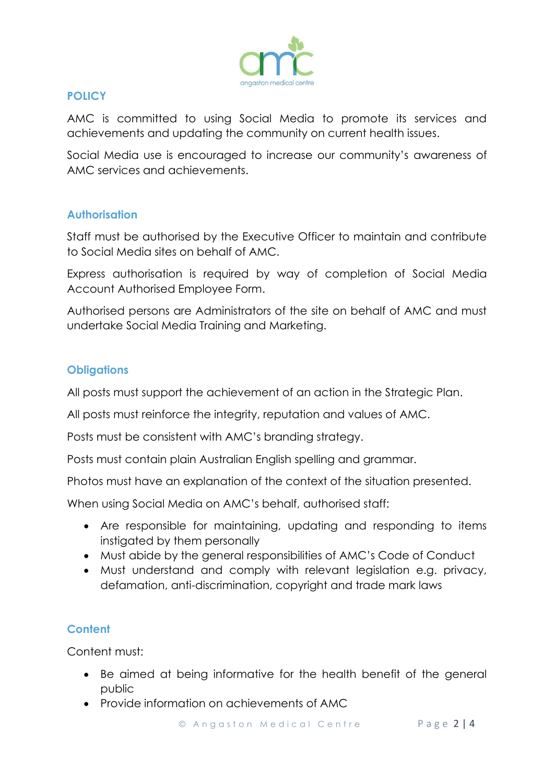

## **POLICY**

AMC is committed to using Social Media to promote its services and achievements and updating the community on current health issues.

Social Media use is encouraged to increase our community's awareness of AMC services and achievements.

## **Authorisation**

Staff must be authorised by the Executive Officer to maintain and contribute to Social Media sites on behalf of AMC.

Express authorisation is required by way of completion of Social Media Account Authorised Employee Form.

Authorised persons are Administrators of the site on behalf of AMC and must undertake Social Media Training and Marketing.

## **Obligations**

All posts must support the achievement of an action in the Strategic Plan.

All posts must reinforce the integrity, reputation and values of AMC.

Posts must be consistent with AMC's branding strategy.

Posts must contain plain Australian English spelling and grammar.

Photos must have an explanation of the context of the situation presented.

When using Social Media on AMC's behalf, authorised staff:

- Are responsible for maintaining, updating and responding to items instigated by them personally
- Must abide by the general responsibilities of AMC's Code of Conduct
- Must understand and comply with relevant legislation e.g. privacy, defamation, anti-discrimination, copyright and trade mark laws

# **Content**

Content must:

- Be aimed at being informative for the health benefit of the general public
- Provide information on achievements of AMC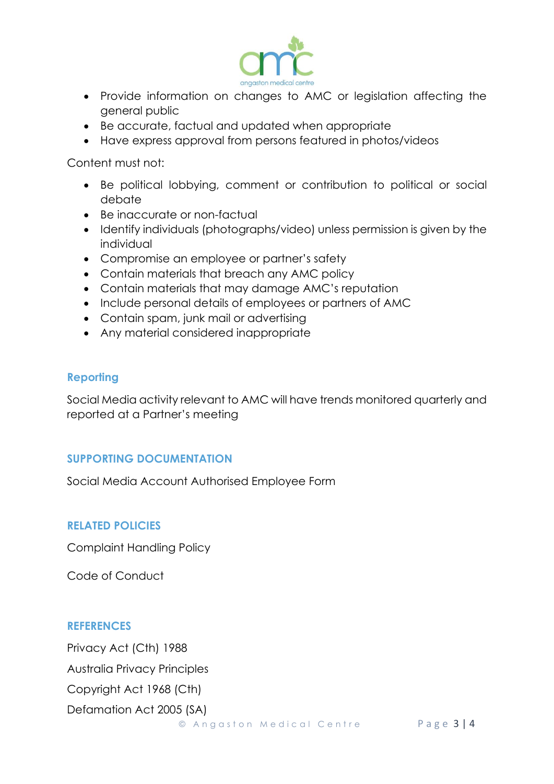

- Provide information on changes to AMC or legislation affecting the general public
- Be accurate, factual and updated when appropriate
- Have express approval from persons featured in photos/videos

Content must not:

- Be political lobbying, comment or contribution to political or social debate
- Be inaccurate or non-factual
- Identify individuals (photographs/video) unless permission is given by the individual
- Compromise an employee or partner's safety
- Contain materials that breach any AMC policy
- Contain materials that may damage AMC's reputation
- Include personal details of employees or partners of AMC
- Contain spam, junk mail or advertising
- Any material considered inappropriate

## **Reporting**

Social Media activity relevant to AMC will have trends monitored quarterly and reported at a Partner's meeting

## **SUPPORTING DOCUMENTATION**

Social Media Account Authorised Employee Form

## **RELATED POLICIES**

Complaint Handling Policy

Code of Conduct

#### **REFERENCES**

Privacy Act (Cth) 1988

Australia Privacy Principles

Copyright Act 1968 (Cth)

Defamation Act 2005 (SA)

© Angaston Medical Centre Page 3 | 4